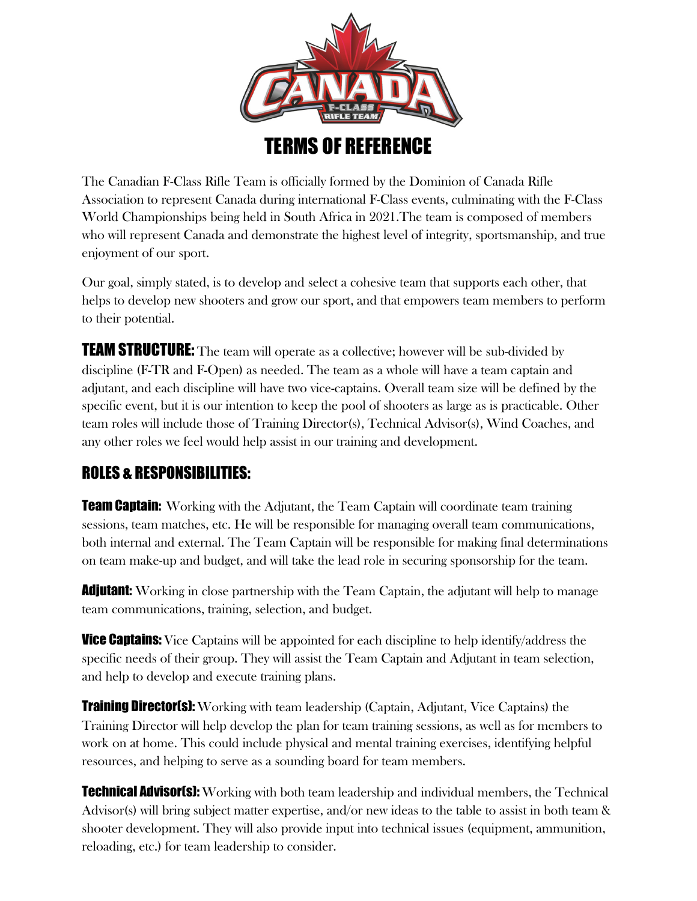

The Canadian F-Class Rifle Team is officially formed by the Dominion of Canada Rifle Association to represent Canada during international F-Class events, culminating with the F-Class World Championships being held in South Africa in 2021.The team is composed of members who will represent Canada and demonstrate the highest level of integrity, sportsmanship, and true enjoyment of our sport.

Our goal, simply stated, is to develop and select a cohesive team that supports each other, that helps to develop new shooters and grow our sport, and that empowers team members to perform to their potential.

TEAM STRUCTURE: The team will operate as a collective; however will be sub-divided by discipline (F-TR and F-Open) as needed. The team as a whole will have a team captain and adjutant, and each discipline will have two vice-captains. Overall team size will be defined by the specific event, but it is our intention to keep the pool of shooters as large as is practicable. Other team roles will include those of Training Director(s), Technical Advisor(s), Wind Coaches, and any other roles we feel would help assist in our training and development.

## ROLES & RESPONSIBILITIES:

**Team Captain:** Working with the Adjutant, the Team Captain will coordinate team training sessions, team matches, etc. He will be responsible for managing overall team communications, both internal and external. The Team Captain will be responsible for making final determinations on team make-up and budget, and will take the lead role in securing sponsorship for the team.

**Adjutant:** Working in close partnership with the Team Captain, the adjutant will help to manage team communications, training, selection, and budget.

**Vice Captains:** Vice Captains will be appointed for each discipline to help identify/address the specific needs of their group. They will assist the Team Captain and Adjutant in team selection, and help to develop and execute training plans.

**Training Director(s):** Working with team leadership (Captain, Adjutant, Vice Captains) the Training Director will help develop the plan for team training sessions, as well as for members to work on at home. This could include physical and mental training exercises, identifying helpful resources, and helping to serve as a sounding board for team members.

**Technical Advisor(s):** Working with both team leadership and individual members, the Technical Advisor(s) will bring subject matter expertise, and/or new ideas to the table to assist in both team & shooter development. They will also provide input into technical issues (equipment, ammunition, reloading, etc.) for team leadership to consider.